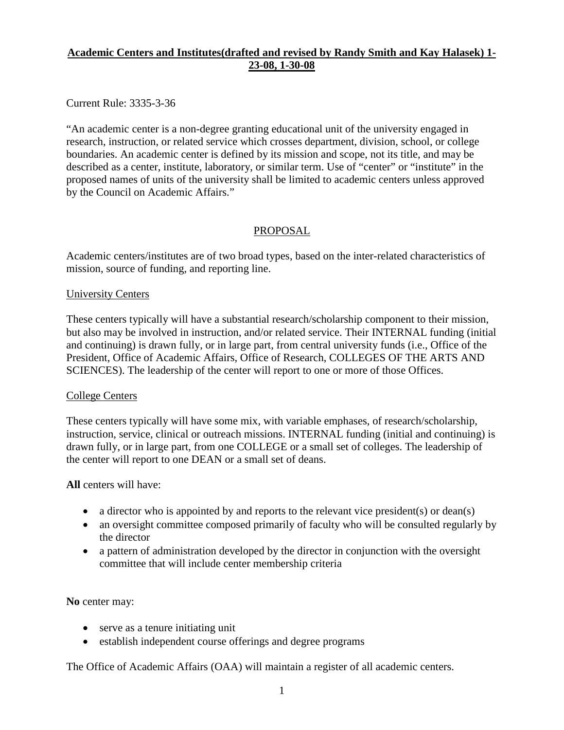# **Academic Centers and Institutes(drafted and revised by Randy Smith and Kay Halasek) 1- 23-08, 1-30-08**

Current Rule: 3335-3-36

"An academic center is a non-degree granting educational unit of the university engaged in research, instruction, or related service which crosses department, division, school, or college boundaries. An academic center is defined by its mission and scope, not its title, and may be described as a center, institute, laboratory, or similar term. Use of "center" or "institute" in the proposed names of units of the university shall be limited to academic centers unless approved by the Council on Academic Affairs."

# PROPOSAL

Academic centers/institutes are of two broad types, based on the inter-related characteristics of mission, source of funding, and reporting line.

### University Centers

These centers typically will have a substantial research/scholarship component to their mission, but also may be involved in instruction, and/or related service. Their INTERNAL funding (initial and continuing) is drawn fully, or in large part, from central university funds (i.e., Office of the President, Office of Academic Affairs, Office of Research, COLLEGES OF THE ARTS AND SCIENCES). The leadership of the center will report to one or more of those Offices.

### College Centers

These centers typically will have some mix, with variable emphases, of research/scholarship, instruction, service, clinical or outreach missions. INTERNAL funding (initial and continuing) is drawn fully, or in large part, from one COLLEGE or a small set of colleges. The leadership of the center will report to one DEAN or a small set of deans.

### **All** centers will have:

- a director who is appointed by and reports to the relevant vice president(s) or dean(s)
- an oversight committee composed primarily of faculty who will be consulted regularly by the director
- a pattern of administration developed by the director in conjunction with the oversight committee that will include center membership criteria

# **No** center may:

- serve as a tenure initiating unit
- establish independent course offerings and degree programs

The Office of Academic Affairs (OAA) will maintain a register of all academic centers.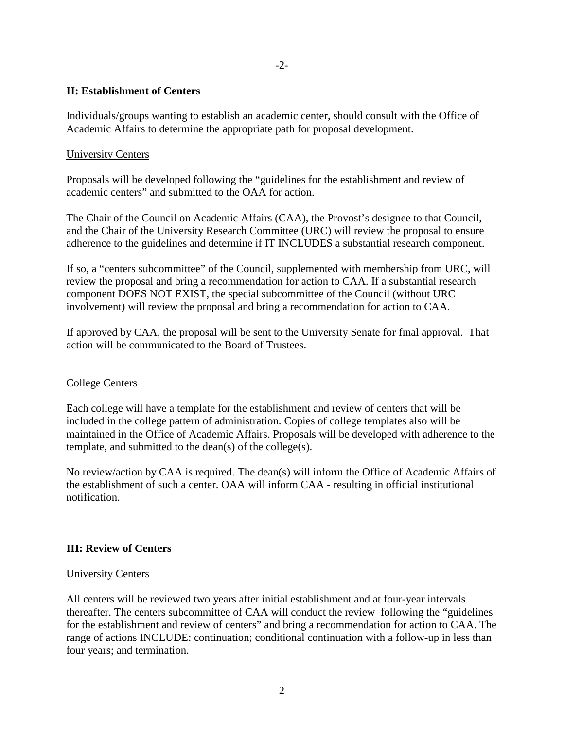### -2-

### **II: Establishment of Centers**

Individuals/groups wanting to establish an academic center, should consult with the Office of Academic Affairs to determine the appropriate path for proposal development.

### University Centers

Proposals will be developed following the "guidelines for the establishment and review of academic centers" and submitted to the OAA for action.

The Chair of the Council on Academic Affairs (CAA), the Provost's designee to that Council, and the Chair of the University Research Committee (URC) will review the proposal to ensure adherence to the guidelines and determine if IT INCLUDES a substantial research component.

If so, a "centers subcommittee" of the Council, supplemented with membership from URC, will review the proposal and bring a recommendation for action to CAA. If a substantial research component DOES NOT EXIST, the special subcommittee of the Council (without URC involvement) will review the proposal and bring a recommendation for action to CAA.

If approved by CAA, the proposal will be sent to the University Senate for final approval. That action will be communicated to the Board of Trustees.

#### College Centers

Each college will have a template for the establishment and review of centers that will be included in the college pattern of administration. Copies of college templates also will be maintained in the Office of Academic Affairs. Proposals will be developed with adherence to the template, and submitted to the dean(s) of the college(s).

No review/action by CAA is required. The dean(s) will inform the Office of Academic Affairs of the establishment of such a center. OAA will inform CAA - resulting in official institutional notification.

### **III: Review of Centers**

#### University Centers

All centers will be reviewed two years after initial establishment and at four-year intervals thereafter. The centers subcommittee of CAA will conduct the review following the "guidelines for the establishment and review of centers" and bring a recommendation for action to CAA. The range of actions INCLUDE: continuation; conditional continuation with a follow-up in less than four years; and termination.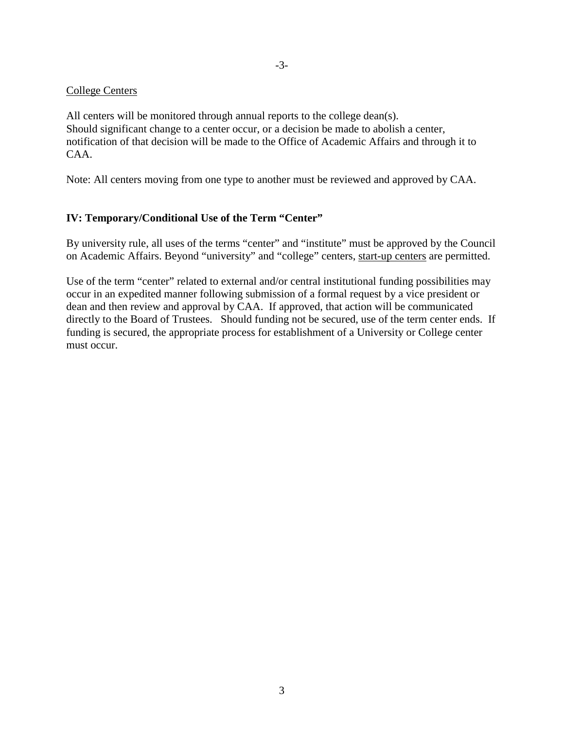### College Centers

All centers will be monitored through annual reports to the college dean(s). Should significant change to a center occur, or a decision be made to abolish a center, notification of that decision will be made to the Office of Academic Affairs and through it to CAA.

Note: All centers moving from one type to another must be reviewed and approved by CAA.

### **IV: Temporary/Conditional Use of the Term "Center"**

By university rule, all uses of the terms "center" and "institute" must be approved by the Council on Academic Affairs. Beyond "university" and "college" centers, start-up centers are permitted.

Use of the term "center" related to external and/or central institutional funding possibilities may occur in an expedited manner following submission of a formal request by a vice president or dean and then review and approval by CAA. If approved, that action will be communicated directly to the Board of Trustees. Should funding not be secured, use of the term center ends. If funding is secured, the appropriate process for establishment of a University or College center must occur.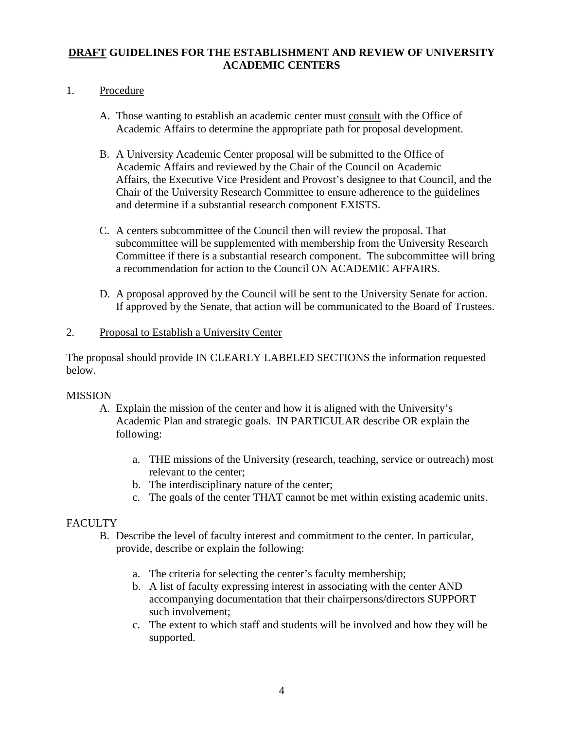# **DRAFT GUIDELINES FOR THE ESTABLISHMENT AND REVIEW OF UNIVERSITY ACADEMIC CENTERS**

# 1. Procedure

- A. Those wanting to establish an academic center must consult with the Office of Academic Affairs to determine the appropriate path for proposal development.
- B. A University Academic Center proposal will be submitted to the Office of Academic Affairs and reviewed by the Chair of the Council on Academic Affairs, the Executive Vice President and Provost's designee to that Council, and the Chair of the University Research Committee to ensure adherence to the guidelines and determine if a substantial research component EXISTS.
- C. A centers subcommittee of the Council then will review the proposal. That subcommittee will be supplemented with membership from the University Research Committee if there is a substantial research component. The subcommittee will bring a recommendation for action to the Council ON ACADEMIC AFFAIRS.
- D. A proposal approved by the Council will be sent to the University Senate for action. If approved by the Senate, that action will be communicated to the Board of Trustees.

# 2. Proposal to Establish a University Center

The proposal should provide IN CLEARLY LABELED SECTIONS the information requested below.

# MISSION

- A. Explain the mission of the center and how it is aligned with the University's Academic Plan and strategic goals. IN PARTICULAR describe OR explain the following:
	- a. THE missions of the University (research, teaching, service or outreach) most relevant to the center;
	- b. The interdisciplinary nature of the center;
	- c. The goals of the center THAT cannot be met within existing academic units.

# **FACULTY**

- B. Describe the level of faculty interest and commitment to the center. In particular, provide, describe or explain the following:
	- a. The criteria for selecting the center's faculty membership;
	- b. A list of faculty expressing interest in associating with the center AND accompanying documentation that their chairpersons/directors SUPPORT such involvement;
	- c. The extent to which staff and students will be involved and how they will be supported.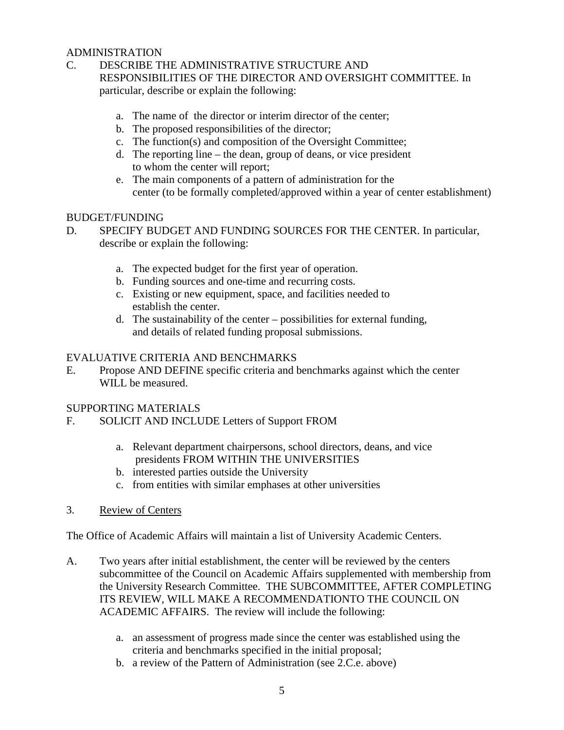### ADMINISTRATION

- C. DESCRIBE THE ADMINISTRATIVE STRUCTURE AND RESPONSIBILITIES OF THE DIRECTOR AND OVERSIGHT COMMITTEE. In particular, describe or explain the following:
	- a. The name of the director or interim director of the center;
	- b. The proposed responsibilities of the director;
	- c. The function(s) and composition of the Oversight Committee;
	- d. The reporting line the dean, group of deans, or vice president to whom the center will report;
	- e. The main components of a pattern of administration for the center (to be formally completed/approved within a year of center establishment)

### BUDGET/FUNDING

- D. SPECIFY BUDGET AND FUNDING SOURCES FOR THE CENTER. In particular, describe or explain the following:
	- a. The expected budget for the first year of operation.
	- b. Funding sources and one-time and recurring costs.
	- c. Existing or new equipment, space, and facilities needed to establish the center.
	- d. The sustainability of the center possibilities for external funding, and details of related funding proposal submissions.

# EVALUATIVE CRITERIA AND BENCHMARKS

E. Propose AND DEFINE specific criteria and benchmarks against which the center WILL be measured.

# SUPPORTING MATERIALS

- F. SOLICIT AND INCLUDE Letters of Support FROM
	- a. Relevant department chairpersons, school directors, deans, and vice presidents FROM WITHIN THE UNIVERSITIES
	- b. interested parties outside the University
	- c. from entities with similar emphases at other universities
- 3. Review of Centers

The Office of Academic Affairs will maintain a list of University Academic Centers.

- A. Two years after initial establishment, the center will be reviewed by the centers subcommittee of the Council on Academic Affairs supplemented with membership from the University Research Committee. THE SUBCOMMITTEE, AFTER COMPLETING ITS REVIEW, WILL MAKE A RECOMMENDATIONTO THE COUNCIL ON ACADEMIC AFFAIRS. The review will include the following:
	- a. an assessment of progress made since the center was established using the criteria and benchmarks specified in the initial proposal;
	- b. a review of the Pattern of Administration (see 2.C.e. above)